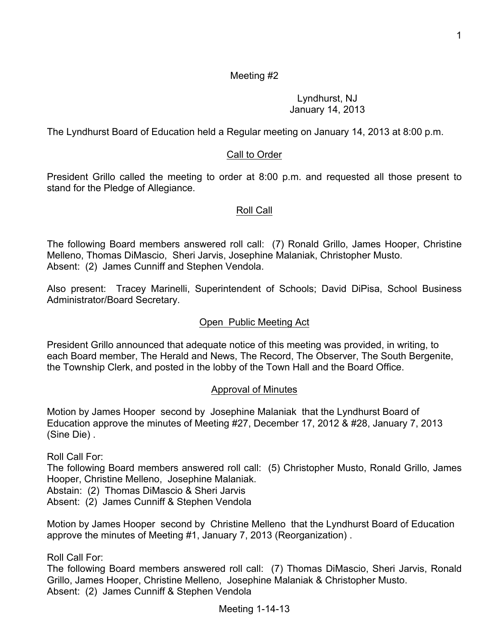### Meeting #2

Lyndhurst, NJ January 14, 2013

The Lyndhurst Board of Education held a Regular meeting on January 14, 2013 at 8:00 p.m.

### Call to Order

President Grillo called the meeting to order at 8:00 p.m. and requested all those present to stand for the Pledge of Allegiance.

### Roll Call

The following Board members answered roll call: (7) Ronald Grillo, James Hooper, Christine Melleno, Thomas DiMascio, Sheri Jarvis, Josephine Malaniak, Christopher Musto. Absent: (2) James Cunniff and Stephen Vendola.

Also present: Tracey Marinelli, Superintendent of Schools; David DiPisa, School Business Administrator/Board Secretary.

#### Open Public Meeting Act

President Grillo announced that adequate notice of this meeting was provided, in writing, to each Board member, The Herald and News, The Record, The Observer, The South Bergenite, the Township Clerk, and posted in the lobby of the Town Hall and the Board Office.

#### Approval of Minutes

Motion by James Hooper second by Josephine Malaniak that the Lyndhurst Board of Education approve the minutes of Meeting #27, December 17, 2012 & #28, January 7, 2013 (Sine Die) .

Roll Call For:

The following Board members answered roll call: (5) Christopher Musto, Ronald Grillo, James Hooper, Christine Melleno, Josephine Malaniak.

Abstain: (2) Thomas DiMascio & Sheri Jarvis

Absent: (2) James Cunniff & Stephen Vendola

Motion by James Hooper second by Christine Melleno that the Lyndhurst Board of Education approve the minutes of Meeting #1, January 7, 2013 (Reorganization) .

Roll Call For:

The following Board members answered roll call: (7) Thomas DiMascio, Sheri Jarvis, Ronald Grillo, James Hooper, Christine Melleno, Josephine Malaniak & Christopher Musto. Absent: (2) James Cunniff & Stephen Vendola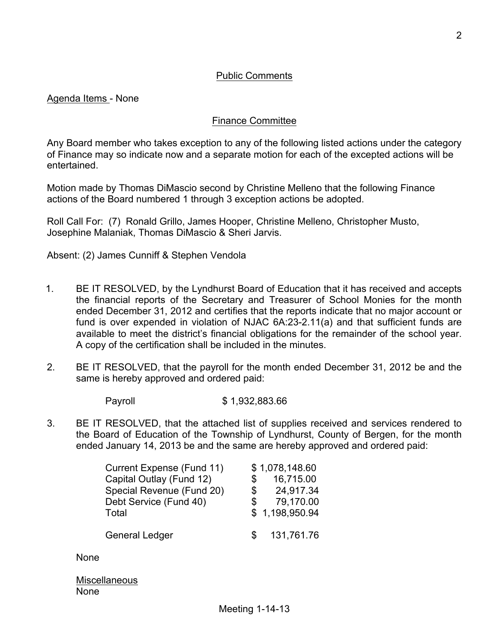Agenda Items - None

### Finance Committee

Any Board member who takes exception to any of the following listed actions under the category of Finance may so indicate now and a separate motion for each of the excepted actions will be entertained.

Motion made by Thomas DiMascio second by Christine Melleno that the following Finance actions of the Board numbered 1 through 3 exception actions be adopted.

Roll Call For: (7) Ronald Grillo, James Hooper, Christine Melleno, Christopher Musto, Josephine Malaniak, Thomas DiMascio & Sheri Jarvis.

Absent: (2) James Cunniff & Stephen Vendola

- 1. BE IT RESOLVED, by the Lyndhurst Board of Education that it has received and accepts the financial reports of the Secretary and Treasurer of School Monies for the month ended December 31, 2012 and certifies that the reports indicate that no major account or fund is over expended in violation of NJAC 6A:23-2.11(a) and that sufficient funds are available to meet the district's financial obligations for the remainder of the school year. A copy of the certification shall be included in the minutes.
- 2. BE IT RESOLVED, that the payroll for the month ended December 31, 2012 be and the same is hereby approved and ordered paid:
	- Payroll \$ 1,932,883.66
- 3. BE IT RESOLVED, that the attached list of supplies received and services rendered to the Board of Education of the Township of Lyndhurst, County of Bergen, for the month ended January 14, 2013 be and the same are hereby approved and ordered paid:

| Current Expense (Fund 11) |     | \$1,078,148.60 |
|---------------------------|-----|----------------|
| Capital Outlay (Fund 12)  | \$  | 16,715.00      |
| Special Revenue (Fund 20) | \$  | 24,917.34      |
| Debt Service (Fund 40)    | \$  | 79,170.00      |
| Total                     |     | \$1,198,950.94 |
| <b>General Ledger</b>     | \$. | 131,761.76     |

None

**Miscellaneous** None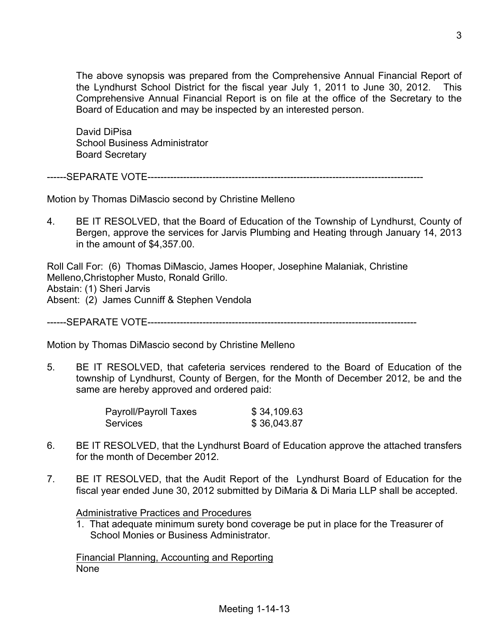The above synopsis was prepared from the Comprehensive Annual Financial Report of the Lyndhurst School District for the fiscal year July 1, 2011 to June 30, 2012. This Comprehensive Annual Financial Report is on file at the office of the Secretary to the Board of Education and may be inspected by an interested person.

David DiPisa School Business Administrator Board Secretary

------SEPARATE VOTE-------------------------------------------------------------------------------------

Motion by Thomas DiMascio second by Christine Melleno

4. BE IT RESOLVED, that the Board of Education of the Township of Lyndhurst, County of Bergen, approve the services for Jarvis Plumbing and Heating through January 14, 2013 in the amount of \$4,357.00.

Roll Call For: (6) Thomas DiMascio, James Hooper, Josephine Malaniak, Christine Melleno,Christopher Musto, Ronald Grillo. Abstain: (1) Sheri Jarvis Absent: (2) James Cunniff & Stephen Vendola

------SEPARATE VOTE-----------------------------------------------------------------------------------

Motion by Thomas DiMascio second by Christine Melleno

5. BE IT RESOLVED, that cafeteria services rendered to the Board of Education of the township of Lyndhurst, County of Bergen, for the Month of December 2012, be and the same are hereby approved and ordered paid:

| Payroll/Payroll Taxes | \$34,109.63 |
|-----------------------|-------------|
| Services              | \$36,043.87 |

- 6. BE IT RESOLVED, that the Lyndhurst Board of Education approve the attached transfers for the month of December 2012.
- 7. BE IT RESOLVED, that the Audit Report of the Lyndhurst Board of Education for the fiscal year ended June 30, 2012 submitted by DiMaria & Di Maria LLP shall be accepted.

Administrative Practices and Procedures

1. That adequate minimum surety bond coverage be put in place for the Treasurer of School Monies or Business Administrator.

Financial Planning, Accounting and Reporting None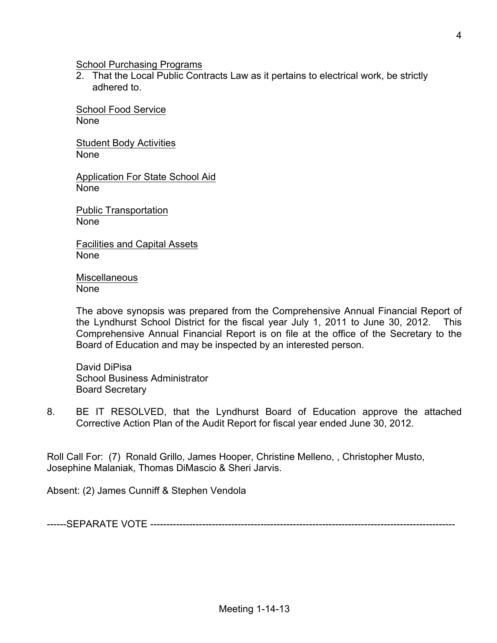School Purchasing Programs

2. That the Local Public Contracts Law as it pertains to electrical work, be strictly adhered to.

School Food Service None

Student Body Activities None

Application For State School Aid None

Public Transportation None

Facilities and Capital Assets None

**Miscellaneous** None

The above synopsis was prepared from the Comprehensive Annual Financial Report of the Lyndhurst School District for the fiscal year July 1, 2011 to June 30, 2012. This Comprehensive Annual Financial Report is on file at the office of the Secretary to the Board of Education and may be inspected by an interested person.

David DiPisa School Business Administrator Board Secretary

8. BE IT RESOLVED, that the Lyndhurst Board of Education approve the attached Corrective Action Plan of the Audit Report for fiscal year ended June 30, 2012.

Roll Call For: (7) Ronald Grillo, James Hooper, Christine Melleno, , Christopher Musto, Josephine Malaniak, Thomas DiMascio & Sheri Jarvis.

Absent: (2) James Cunniff & Stephen Vendola

------SEPARATE VOTE ----------------------------------------------------------------------------------------------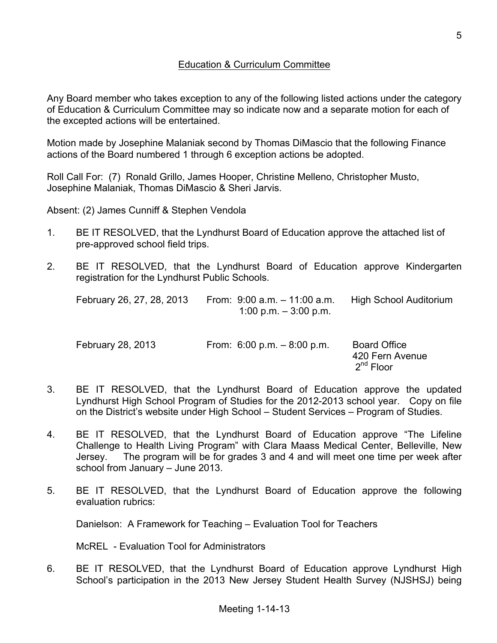## Education & Curriculum Committee

Any Board member who takes exception to any of the following listed actions under the category of Education & Curriculum Committee may so indicate now and a separate motion for each of the excepted actions will be entertained.

Motion made by Josephine Malaniak second by Thomas DiMascio that the following Finance actions of the Board numbered 1 through 6 exception actions be adopted.

Roll Call For: (7) Ronald Grillo, James Hooper, Christine Melleno, Christopher Musto, Josephine Malaniak, Thomas DiMascio & Sheri Jarvis.

Absent: (2) James Cunniff & Stephen Vendola

- 1. BE IT RESOLVED, that the Lyndhurst Board of Education approve the attached list of pre-approved school field trips.
- 2. BE IT RESOLVED, that the Lyndhurst Board of Education approve Kindergarten registration for the Lyndhurst Public Schools.

| February 26, 27, 28, 2013 | From: $9:00$ a.m. $-11:00$ a.m. | High School Auditorium |
|---------------------------|---------------------------------|------------------------|
|                           | 1:00 p.m. – 3:00 p.m.           |                        |
|                           |                                 |                        |

| February 28, 2013 | From: $6.00 \text{ p.m.} - 8.00 \text{ p.m.}$ | <b>Board Office</b>   |
|-------------------|-----------------------------------------------|-----------------------|
|                   |                                               | 420 Fern Avenue       |
|                   |                                               | 2 <sup>nd</sup> Floor |

- 3. BE IT RESOLVED, that the Lyndhurst Board of Education approve the updated Lyndhurst High School Program of Studies for the 2012-2013 school year. Copy on file on the District's website under High School – Student Services – Program of Studies.
- 4. BE IT RESOLVED, that the Lyndhurst Board of Education approve "The Lifeline Challenge to Health Living Program" with Clara Maass Medical Center, Belleville, New Jersey. The program will be for grades 3 and 4 and will meet one time per week after school from January – June 2013.
- 5. BE IT RESOLVED, that the Lyndhurst Board of Education approve the following evaluation rubrics:

Danielson: A Framework for Teaching – Evaluation Tool for Teachers

McREL - Evaluation Tool for Administrators

6. BE IT RESOLVED, that the Lyndhurst Board of Education approve Lyndhurst High School's participation in the 2013 New Jersey Student Health Survey (NJSHSJ) being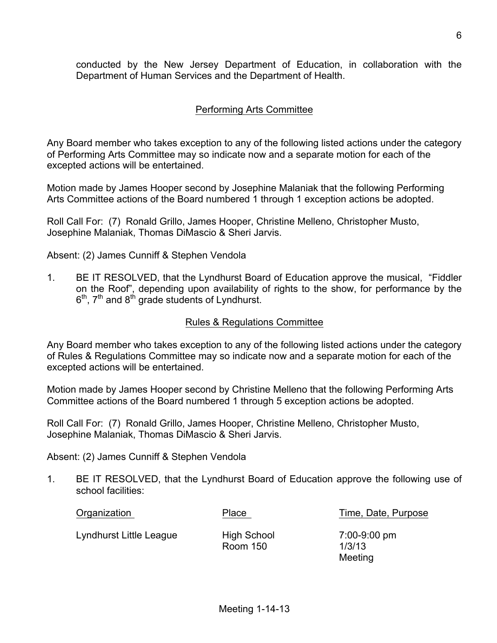conducted by the New Jersey Department of Education, in collaboration with the Department of Human Services and the Department of Health.

## Performing Arts Committee

Any Board member who takes exception to any of the following listed actions under the category of Performing Arts Committee may so indicate now and a separate motion for each of the excepted actions will be entertained.

Motion made by James Hooper second by Josephine Malaniak that the following Performing Arts Committee actions of the Board numbered 1 through 1 exception actions be adopted.

Roll Call For: (7) Ronald Grillo, James Hooper, Christine Melleno, Christopher Musto, Josephine Malaniak, Thomas DiMascio & Sheri Jarvis.

Absent: (2) James Cunniff & Stephen Vendola

1. BE IT RESOLVED, that the Lyndhurst Board of Education approve the musical, "Fiddler on the Roof", depending upon availability of rights to the show, for performance by the  $6<sup>th</sup>$ ,  $7<sup>th</sup>$  and  $8<sup>th</sup>$  grade students of Lyndhurst.

#### Rules & Regulations Committee

Any Board member who takes exception to any of the following listed actions under the category of Rules & Regulations Committee may so indicate now and a separate motion for each of the excepted actions will be entertained.

Motion made by James Hooper second by Christine Melleno that the following Performing Arts Committee actions of the Board numbered 1 through 5 exception actions be adopted.

Roll Call For: (7) Ronald Grillo, James Hooper, Christine Melleno, Christopher Musto, Josephine Malaniak, Thomas DiMascio & Sheri Jarvis.

Absent: (2) James Cunniff & Stephen Vendola

1. BE IT RESOLVED, that the Lyndhurst Board of Education approve the following use of school facilities:

Organization **Place** Place Time, Date, Purpose

Lyndhurst Little League High School 7:00-9:00 pm

Room 150 1/3/13

Meeting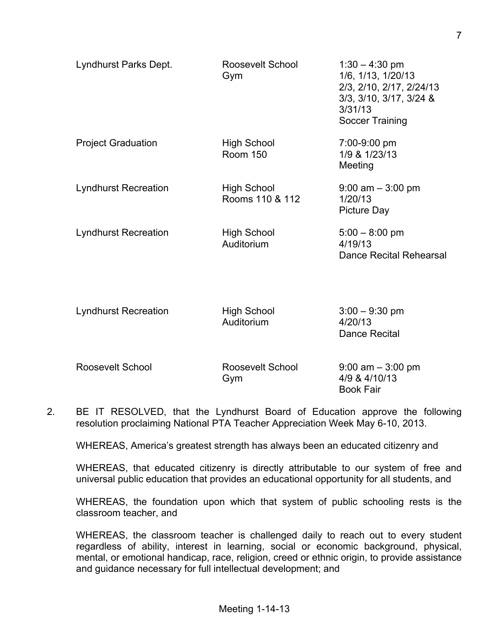| Lyndhurst Parks Dept.       | Roosevelt School<br>Gym               | $1:30 - 4:30$ pm<br>1/6, 1/13, 1/20/13<br>2/3, 2/10, 2/17, 2/24/13<br>3/3, 3/10, 3/17, 3/24 &<br>3/31/13<br>Soccer Training |
|-----------------------------|---------------------------------------|-----------------------------------------------------------------------------------------------------------------------------|
| <b>Project Graduation</b>   | <b>High School</b><br><b>Room 150</b> | 7:00-9:00 pm<br>1/9 & 1/23/13<br>Meeting                                                                                    |
| <b>Lyndhurst Recreation</b> | <b>High School</b><br>Rooms 110 & 112 | $9:00$ am $-3:00$ pm<br>1/20/13<br><b>Picture Day</b>                                                                       |
| <b>Lyndhurst Recreation</b> | <b>High School</b><br>Auditorium      | $5:00 - 8:00$ pm<br>4/19/13<br><b>Dance Recital Rehearsal</b>                                                               |
| <b>Lyndhurst Recreation</b> | <b>High School</b><br>Auditorium      | $3:00 - 9:30$ pm<br>4/20/13<br>Dance Recital                                                                                |
| Roosevelt School            | Roosevelt School<br>Gym               | $9:00$ am $-3:00$ pm<br>4/9 & 4/10/13<br><b>Book Fair</b>                                                                   |

2. BE IT RESOLVED, that the Lyndhurst Board of Education approve the following resolution proclaiming National PTA Teacher Appreciation Week May 6-10, 2013.

WHEREAS, America's greatest strength has always been an educated citizenry and

WHEREAS, that educated citizenry is directly attributable to our system of free and universal public education that provides an educational opportunity for all students, and

WHEREAS, the foundation upon which that system of public schooling rests is the classroom teacher, and

WHEREAS, the classroom teacher is challenged daily to reach out to every student regardless of ability, interest in learning, social or economic background, physical, mental, or emotional handicap, race, religion, creed or ethnic origin, to provide assistance and guidance necessary for full intellectual development; and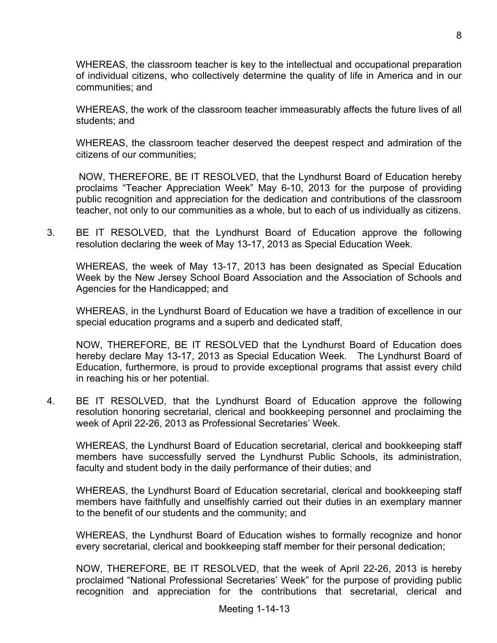WHEREAS, the classroom teacher is key to the intellectual and occupational preparation of individual citizens, who collectively determine the quality of life in America and in our communities; and

WHEREAS, the work of the classroom teacher immeasurably affects the future lives of all students; and

WHEREAS, the classroom teacher deserved the deepest respect and admiration of the citizens of our communities;

NOW, THEREFORE, BE IT RESOLVED, that the Lyndhurst Board of Education hereby proclaims "Teacher Appreciation Week" May 6-10, 2013 for the purpose of providing public recognition and appreciation for the dedication and contributions of the classroom teacher, not only to our communities as a whole, but to each of us individually as citizens.

3. BE IT RESOLVED, that the Lyndhurst Board of Education approve the following resolution declaring the week of May 13-17, 2013 as Special Education Week.

WHEREAS, the week of May 13-17, 2013 has been designated as Special Education Week by the New Jersey School Board Association and the Association of Schools and Agencies for the Handicapped; and

WHEREAS, in the Lyndhurst Board of Education we have a tradition of excellence in our special education programs and a superb and dedicated staff,

NOW, THEREFORE, BE IT RESOLVED that the Lyndhurst Board of Education does hereby declare May 13-17, 2013 as Special Education Week. The Lyndhurst Board of Education, furthermore, is proud to provide exceptional programs that assist every child in reaching his or her potential.

4. BE IT RESOLVED, that the Lyndhurst Board of Education approve the following resolution honoring secretarial, clerical and bookkeeping personnel and proclaiming the week of April 22-26, 2013 as Professional Secretaries' Week.

WHEREAS, the Lyndhurst Board of Education secretarial, clerical and bookkeeping staff members have successfully served the Lyndhurst Public Schools, its administration, faculty and student body in the daily performance of their duties; and

WHEREAS, the Lyndhurst Board of Education secretarial, clerical and bookkeeping staff members have faithfully and unselfishly carried out their duties in an exemplary manner to the benefit of our students and the community; and

WHEREAS, the Lyndhurst Board of Education wishes to formally recognize and honor every secretarial, clerical and bookkeeping staff member for their personal dedication;

NOW, THEREFORE, BE IT RESOLVED, that the week of April 22-26, 2013 is hereby proclaimed "National Professional Secretaries' Week" for the purpose of providing public recognition and appreciation for the contributions that secretarial, clerical and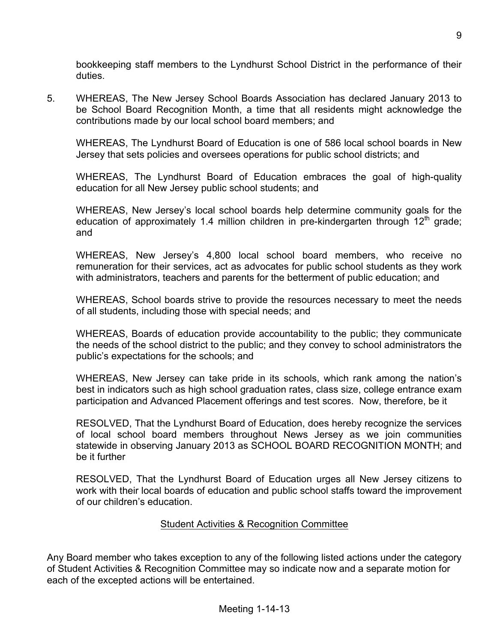bookkeeping staff members to the Lyndhurst School District in the performance of their duties.

5. WHEREAS, The New Jersey School Boards Association has declared January 2013 to be School Board Recognition Month, a time that all residents might acknowledge the contributions made by our local school board members; and

WHEREAS, The Lyndhurst Board of Education is one of 586 local school boards in New Jersey that sets policies and oversees operations for public school districts; and

WHEREAS, The Lyndhurst Board of Education embraces the goal of high-quality education for all New Jersey public school students; and

WHEREAS, New Jersey's local school boards help determine community goals for the education of approximately 1.4 million children in pre-kindergarten through  $12<sup>th</sup>$  grade; and

WHEREAS, New Jersey's 4,800 local school board members, who receive no remuneration for their services, act as advocates for public school students as they work with administrators, teachers and parents for the betterment of public education; and

WHEREAS, School boards strive to provide the resources necessary to meet the needs of all students, including those with special needs; and

WHEREAS, Boards of education provide accountability to the public; they communicate the needs of the school district to the public; and they convey to school administrators the public's expectations for the schools; and

WHEREAS, New Jersey can take pride in its schools, which rank among the nation's best in indicators such as high school graduation rates, class size, college entrance exam participation and Advanced Placement offerings and test scores. Now, therefore, be it

RESOLVED, That the Lyndhurst Board of Education, does hereby recognize the services of local school board members throughout News Jersey as we join communities statewide in observing January 2013 as SCHOOL BOARD RECOGNITION MONTH; and be it further

RESOLVED, That the Lyndhurst Board of Education urges all New Jersey citizens to work with their local boards of education and public school staffs toward the improvement of our children's education.

## Student Activities & Recognition Committee

Any Board member who takes exception to any of the following listed actions under the category of Student Activities & Recognition Committee may so indicate now and a separate motion for each of the excepted actions will be entertained.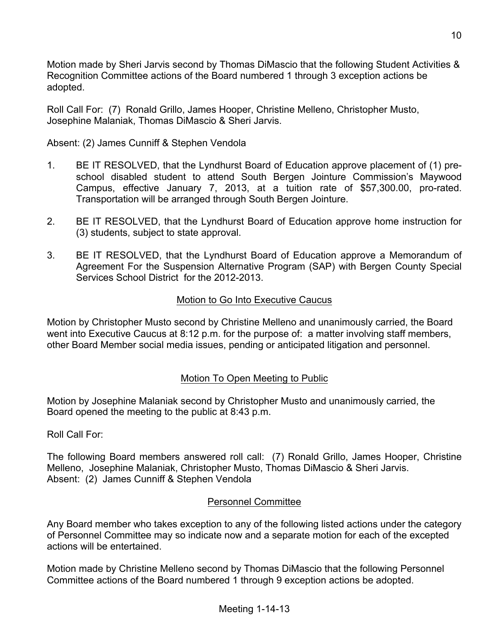Motion made by Sheri Jarvis second by Thomas DiMascio that the following Student Activities & Recognition Committee actions of the Board numbered 1 through 3 exception actions be adopted.

Roll Call For: (7) Ronald Grillo, James Hooper, Christine Melleno, Christopher Musto, Josephine Malaniak, Thomas DiMascio & Sheri Jarvis.

Absent: (2) James Cunniff & Stephen Vendola

- 1. BE IT RESOLVED, that the Lyndhurst Board of Education approve placement of (1) preschool disabled student to attend South Bergen Jointure Commission's Maywood Campus, effective January 7, 2013, at a tuition rate of \$57,300.00, pro-rated. Transportation will be arranged through South Bergen Jointure.
- 2. BE IT RESOLVED, that the Lyndhurst Board of Education approve home instruction for (3) students, subject to state approval.
- 3. BE IT RESOLVED, that the Lyndhurst Board of Education approve a Memorandum of Agreement For the Suspension Alternative Program (SAP) with Bergen County Special Services School District for the 2012-2013.

# Motion to Go Into Executive Caucus

Motion by Christopher Musto second by Christine Melleno and unanimously carried, the Board went into Executive Caucus at 8:12 p.m. for the purpose of: a matter involving staff members, other Board Member social media issues, pending or anticipated litigation and personnel.

# Motion To Open Meeting to Public

Motion by Josephine Malaniak second by Christopher Musto and unanimously carried, the Board opened the meeting to the public at 8:43 p.m.

Roll Call For:

The following Board members answered roll call: (7) Ronald Grillo, James Hooper, Christine Melleno, Josephine Malaniak, Christopher Musto, Thomas DiMascio & Sheri Jarvis. Absent: (2) James Cunniff & Stephen Vendola

# Personnel Committee

Any Board member who takes exception to any of the following listed actions under the category of Personnel Committee may so indicate now and a separate motion for each of the excepted actions will be entertained.

Motion made by Christine Melleno second by Thomas DiMascio that the following Personnel Committee actions of the Board numbered 1 through 9 exception actions be adopted.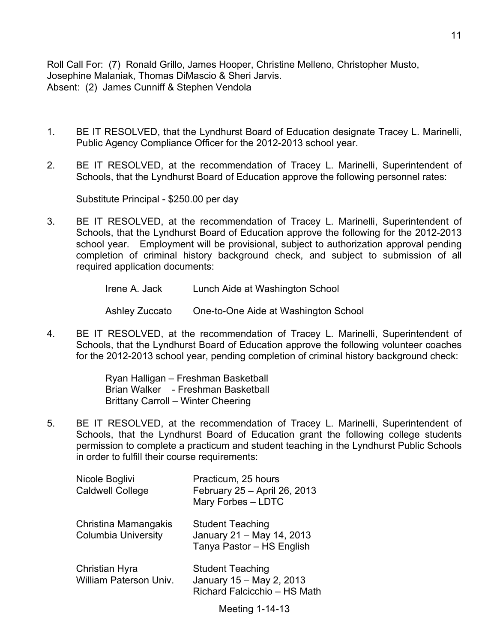Roll Call For: (7) Ronald Grillo, James Hooper, Christine Melleno, Christopher Musto, Josephine Malaniak, Thomas DiMascio & Sheri Jarvis. Absent: (2) James Cunniff & Stephen Vendola

- 1. BE IT RESOLVED, that the Lyndhurst Board of Education designate Tracey L. Marinelli, Public Agency Compliance Officer for the 2012-2013 school year.
- 2. BE IT RESOLVED, at the recommendation of Tracey L. Marinelli, Superintendent of Schools, that the Lyndhurst Board of Education approve the following personnel rates:

Substitute Principal - \$250.00 per day

- 3. BE IT RESOLVED, at the recommendation of Tracey L. Marinelli, Superintendent of Schools, that the Lyndhurst Board of Education approve the following for the 2012-2013 school year. Employment will be provisional, subject to authorization approval pending completion of criminal history background check, and subject to submission of all required application documents:
	- Irene A. Jack Lunch Aide at Washington School

Ashley Zuccato One-to-One Aide at Washington School

4. BE IT RESOLVED, at the recommendation of Tracey L. Marinelli, Superintendent of Schools, that the Lyndhurst Board of Education approve the following volunteer coaches for the 2012-2013 school year, pending completion of criminal history background check:

> Ryan Halligan – Freshman Basketball Brian Walker - Freshman Basketball Brittany Carroll – Winter Cheering

5. BE IT RESOLVED, at the recommendation of Tracey L. Marinelli, Superintendent of Schools, that the Lyndhurst Board of Education grant the following college students permission to complete a practicum and student teaching in the Lyndhurst Public Schools in order to fulfill their course requirements:

| Nicole Boglivi<br><b>Caldwell College</b>          | Practicum, 25 hours<br>February 25 - April 26, 2013<br>Mary Forbes - LDTC           |
|----------------------------------------------------|-------------------------------------------------------------------------------------|
| Christina Mamangakis<br><b>Columbia University</b> | <b>Student Teaching</b><br>January 21 - May 14, 2013<br>Tanya Pastor - HS English   |
| Christian Hyra<br><b>William Paterson Univ.</b>    | <b>Student Teaching</b><br>January 15 - May 2, 2013<br>Richard Falcicchio - HS Math |

Meeting 1-14-13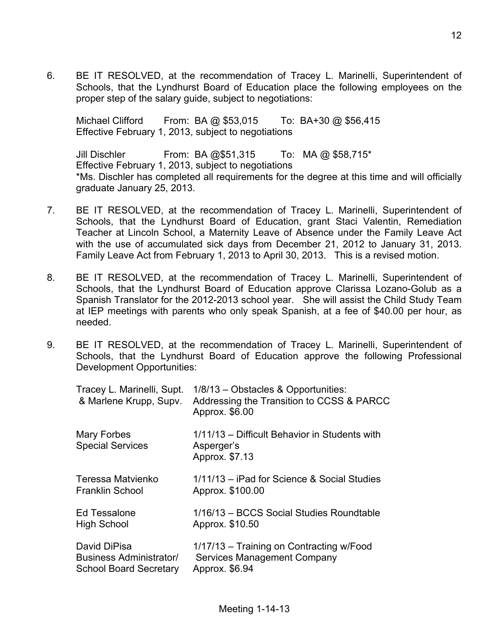6. BE IT RESOLVED, at the recommendation of Tracey L. Marinelli, Superintendent of Schools, that the Lyndhurst Board of Education place the following employees on the proper step of the salary guide, subject to negotiations:

Michael Clifford From: BA @ \$53,015 To: BA+30 @ \$56,415 Effective February 1, 2013, subject to negotiations

Jill Dischler From: BA @\$51,315 To: MA @ \$58,715\* Effective February 1, 2013, subject to negotiations \*Ms. Dischler has completed all requirements for the degree at this time and will officially graduate January 25, 2013.

- 7. BE IT RESOLVED, at the recommendation of Tracey L. Marinelli, Superintendent of Schools, that the Lyndhurst Board of Education, grant Staci Valentin, Remediation Teacher at Lincoln School, a Maternity Leave of Absence under the Family Leave Act with the use of accumulated sick days from December 21, 2012 to January 31, 2013. Family Leave Act from February 1, 2013 to April 30, 2013. This is a revised motion.
- 8. BE IT RESOLVED, at the recommendation of Tracey L. Marinelli, Superintendent of Schools, that the Lyndhurst Board of Education approve Clarissa Lozano-Golub as a Spanish Translator for the 2012-2013 school year. She will assist the Child Study Team at IEP meetings with parents who only speak Spanish, at a fee of \$40.00 per hour, as needed.
- 9. BE IT RESOLVED, at the recommendation of Tracey L. Marinelli, Superintendent of Schools, that the Lyndhurst Board of Education approve the following Professional Development Opportunities:

| Tracey L. Marinelli, Supt.<br>& Marlene Krupp, Supv. | 1/8/13 - Obstacles & Opportunities:<br>Addressing the Transition to CCSS & PARCC<br>Approx. \$6.00 |
|------------------------------------------------------|----------------------------------------------------------------------------------------------------|
| Mary Forbes<br><b>Special Services</b>               | 1/11/13 – Difficult Behavior in Students with<br>Asperger's<br>Approx. \$7.13                      |
| Teressa Matvienko                                    | 1/11/13 – iPad for Science & Social Studies                                                        |
| <b>Franklin School</b>                               | Approx. \$100.00                                                                                   |
| Ed Tessalone                                         | 1/16/13 - BCCS Social Studies Roundtable                                                           |
| <b>High School</b>                                   | Approx. \$10.50                                                                                    |
| David DiPisa                                         | 1/17/13 - Training on Contracting w/Food                                                           |
| Business Administrator/                              | <b>Services Management Company</b>                                                                 |
| <b>School Board Secretary</b>                        | Approx. \$6.94                                                                                     |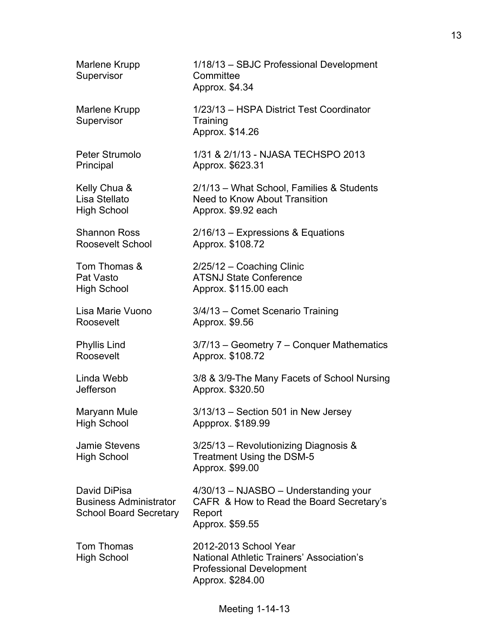| Marlene Krupp<br>Supervisor                                                    | 1/18/13 - SBJC Professional Development<br>Committee<br>Approx. \$4.34                                                           |
|--------------------------------------------------------------------------------|----------------------------------------------------------------------------------------------------------------------------------|
| Marlene Krupp<br>Supervisor                                                    | 1/23/13 - HSPA District Test Coordinator<br>Training<br>Approx. \$14.26                                                          |
| Peter Strumolo                                                                 | 1/31 & 2/1/13 - NJASA TECHSPO 2013                                                                                               |
| Principal                                                                      | Approx. \$623.31                                                                                                                 |
| Kelly Chua &                                                                   | 2/1/13 - What School, Families & Students                                                                                        |
| Lisa Stellato                                                                  | Need to Know About Transition                                                                                                    |
| <b>High School</b>                                                             | Approx. \$9.92 each                                                                                                              |
| <b>Shannon Ross</b>                                                            | $2/16/13$ – Expressions & Equations                                                                                              |
| Roosevelt School                                                               | Approx. \$108.72                                                                                                                 |
| Tom Thomas &                                                                   | 2/25/12 - Coaching Clinic                                                                                                        |
| Pat Vasto                                                                      | <b>ATSNJ State Conference</b>                                                                                                    |
| <b>High School</b>                                                             | Approx. \$115.00 each                                                                                                            |
| Lisa Marie Vuono                                                               | 3/4/13 - Comet Scenario Training                                                                                                 |
| Roosevelt                                                                      | Approx. \$9.56                                                                                                                   |
| <b>Phyllis Lind</b>                                                            | 3/7/13 – Geometry 7 – Conquer Mathematics                                                                                        |
| Roosevelt                                                                      | Approx. \$108.72                                                                                                                 |
| Linda Webb                                                                     | 3/8 & 3/9-The Many Facets of School Nursing                                                                                      |
| Jefferson                                                                      | Approx. \$320.50                                                                                                                 |
| Maryann Mule                                                                   | 3/13/13 - Section 501 in New Jersey                                                                                              |
| <b>High School</b>                                                             | Appprox. \$189.99                                                                                                                |
| <b>Jamie Stevens</b><br><b>High School</b>                                     | 3/25/13 - Revolutionizing Diagnosis &<br>Treatment Using the DSM-5<br>Approx. \$99.00                                            |
| David DiPisa<br><b>Business Administrator</b><br><b>School Board Secretary</b> | 4/30/13 - NJASBO - Understanding your<br>CAFR & How to Read the Board Secretary's<br>Report<br>Approx. \$59.55                   |
| Tom Thomas<br><b>High School</b>                                               | 2012-2013 School Year<br><b>National Athletic Trainers' Association's</b><br><b>Professional Development</b><br>Approx. \$284.00 |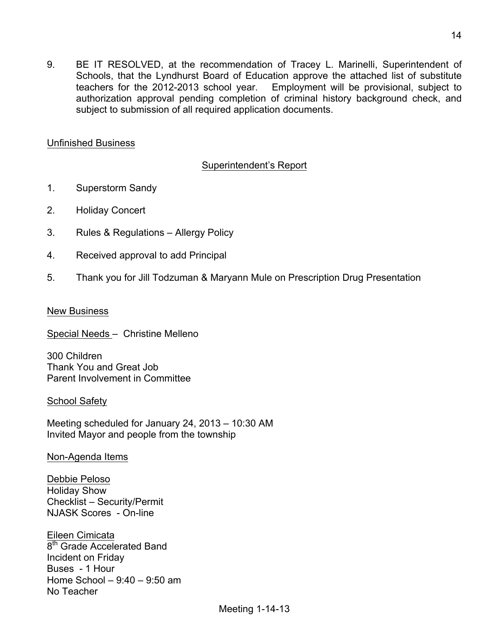9. BE IT RESOLVED, at the recommendation of Tracey L. Marinelli, Superintendent of Schools, that the Lyndhurst Board of Education approve the attached list of substitute teachers for the 2012-2013 school year. Employment will be provisional, subject to authorization approval pending completion of criminal history background check, and subject to submission of all required application documents.

### Unfinished Business

## Superintendent's Report

- 1. Superstorm Sandy
- 2. Holiday Concert
- 3. Rules & Regulations Allergy Policy
- 4. Received approval to add Principal
- 5. Thank you for Jill Todzuman & Maryann Mule on Prescription Drug Presentation

### New Business

Special Needs – Christine Melleno

300 Children Thank You and Great Job Parent Involvement in Committee

### School Safety

Meeting scheduled for January 24, 2013 – 10:30 AM Invited Mayor and people from the township

### Non-Agenda Items

Debbie Peloso Holiday Show Checklist – Security/Permit NJASK Scores - On-line

Eileen Cimicata 8<sup>th</sup> Grade Accelerated Band Incident on Friday Buses - 1 Hour Home School – 9:40 – 9:50 am No Teacher